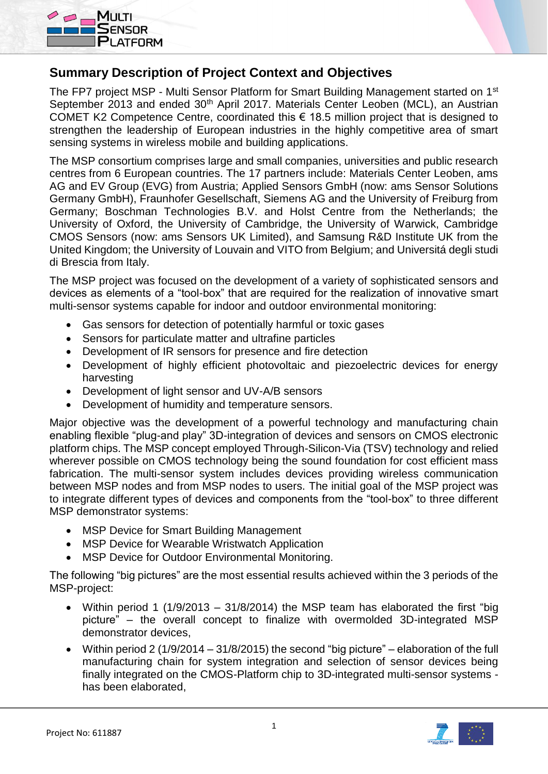



## **Summary Description of Project Context and Objectives**

The FP7 project MSP - Multi Sensor Platform for Smart Building Management started on 1<sup>st</sup> September 2013 and ended 30<sup>th</sup> April 2017. Materials Center Leoben (MCL), an Austrian COMET K2 Competence Centre, coordinated this € 18.5 million project that is designed to strengthen the leadership of European industries in the highly competitive area of smart sensing systems in wireless mobile and building applications.

The MSP consortium comprises large and small companies, universities and public research centres from 6 European countries. The 17 partners include: Materials Center Leoben, ams AG and EV Group (EVG) from Austria; Applied Sensors GmbH (now: ams Sensor Solutions Germany GmbH), Fraunhofer Gesellschaft, Siemens AG and the University of Freiburg from Germany; Boschman Technologies B.V. and Holst Centre from the Netherlands; the University of Oxford, the University of Cambridge, the University of Warwick, Cambridge CMOS Sensors (now: ams Sensors UK Limited), and Samsung R&D Institute UK from the United Kingdom; the University of Louvain and VITO from Belgium; and Universitá degli studi di Brescia from Italy.

The MSP project was focused on the development of a variety of sophisticated sensors and devices as elements of a "tool-box" that are required for the realization of innovative smart multi-sensor systems capable for indoor and outdoor environmental monitoring:

- Gas sensors for detection of potentially harmful or toxic gases
- Sensors for particulate matter and ultrafine particles
- Development of IR sensors for presence and fire detection
- Development of highly efficient photovoltaic and piezoelectric devices for energy harvesting
- Development of light sensor and UV-A/B sensors
- Development of humidity and temperature sensors.

Major objective was the development of a powerful technology and manufacturing chain enabling flexible "plug-and play" 3D-integration of devices and sensors on CMOS electronic platform chips. The MSP concept employed Through-Silicon-Via (TSV) technology and relied wherever possible on CMOS technology being the sound foundation for cost efficient mass fabrication. The multi-sensor system includes devices providing wireless communication between MSP nodes and from MSP nodes to users. The initial goal of the MSP project was to integrate different types of devices and components from the "tool-box" to three different MSP demonstrator systems:

- MSP Device for Smart Building Management
- MSP Device for Wearable Wristwatch Application
- MSP Device for Outdoor Environmental Monitoring.

The following "big pictures" are the most essential results achieved within the 3 periods of the MSP-project:

- Within period 1 (1/9/2013 31/8/2014) the MSP team has elaborated the first "big picture" – the overall concept to finalize with overmolded 3D-integrated MSP demonstrator devices,
- Within period 2 (1/9/2014 31/8/2015) the second "big picture" elaboration of the full manufacturing chain for system integration and selection of sensor devices being finally integrated on the CMOS-Platform chip to 3D-integrated multi-sensor systems has been elaborated,

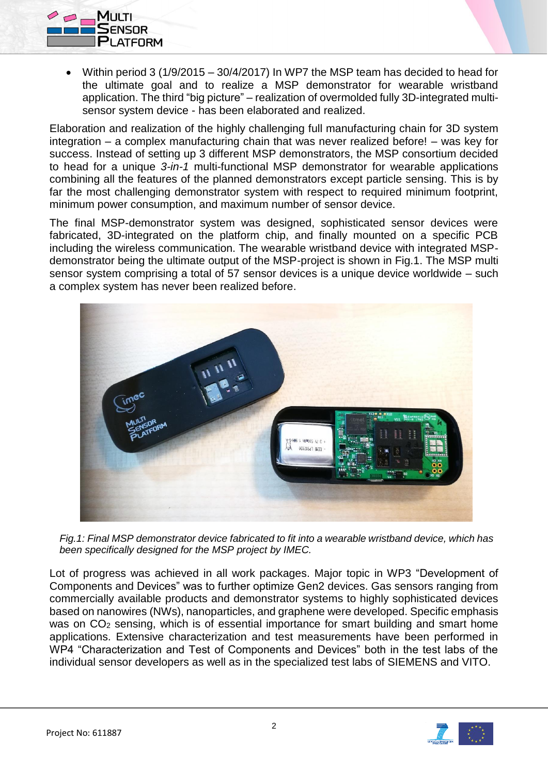

 Within period 3 (1/9/2015 – 30/4/2017) In WP7 the MSP team has decided to head for the ultimate goal and to realize a MSP demonstrator for wearable wristband application. The third "big picture" – realization of overmolded fully 3D-integrated multisensor system device - has been elaborated and realized.

Elaboration and realization of the highly challenging full manufacturing chain for 3D system integration – a complex manufacturing chain that was never realized before! – was key for success. Instead of setting up 3 different MSP demonstrators, the MSP consortium decided to head for a unique *3-in-1* multi-functional MSP demonstrator for wearable applications combining all the features of the planned demonstrators except particle sensing. This is by far the most challenging demonstrator system with respect to required minimum footprint, minimum power consumption, and maximum number of sensor device.

The final MSP-demonstrator system was designed, sophisticated sensor devices were fabricated, 3D-integrated on the platform chip, and finally mounted on a specific PCB including the wireless communication. The wearable wristband device with integrated MSPdemonstrator being the ultimate output of the MSP-project is shown in Fig.1. The MSP multi sensor system comprising a total of 57 sensor devices is a unique device worldwide – such a complex system has never been realized before.



*Fig.1: Final MSP demonstrator device fabricated to fit into a wearable wristband device, which has been specifically designed for the MSP project by IMEC.*

Lot of progress was achieved in all work packages. Major topic in WP3 "Development of Components and Devices" was to further optimize Gen2 devices. Gas sensors ranging from commercially available products and demonstrator systems to highly sophisticated devices based on nanowires (NWs), nanoparticles, and graphene were developed. Specific emphasis was on CO<sub>2</sub> sensing, which is of essential importance for smart building and smart home applications. Extensive characterization and test measurements have been performed in WP4 "Characterization and Test of Components and Devices" both in the test labs of the individual sensor developers as well as in the specialized test labs of SIEMENS and VITO.

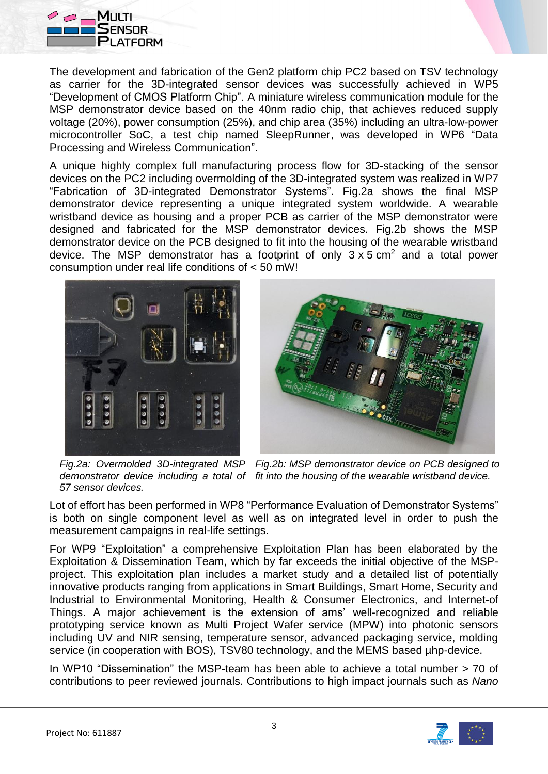

The development and fabrication of the Gen2 platform chip PC2 based on TSV technology as carrier for the 3D-integrated sensor devices was successfully achieved in WP5 "Development of CMOS Platform Chip". A miniature wireless communication module for the MSP demonstrator device based on the 40nm radio chip, that achieves reduced supply voltage (20%), power consumption (25%), and chip area (35%) including an ultra-low-power microcontroller SoC, a test chip named SleepRunner, was developed in WP6 "Data Processing and Wireless Communication".

A unique highly complex full manufacturing process flow for 3D-stacking of the sensor devices on the PC2 including overmolding of the 3D-integrated system was realized in WP7 "Fabrication of 3D-integrated Demonstrator Systems". Fig.2a shows the final MSP demonstrator device representing a unique integrated system worldwide. A wearable wristband device as housing and a proper PCB as carrier of the MSP demonstrator were designed and fabricated for the MSP demonstrator devices. Fig.2b shows the MSP demonstrator device on the PCB designed to fit into the housing of the wearable wristband device. The MSP demonstrator has a footprint of only  $3 \times 5$  cm<sup>2</sup> and a total power consumption under real life conditions of < 50 mW!





*Fig.2a: Overmolded 3D-integrated MSP Fig.2b: MSP demonstrator device on PCB designed to demonstrator device including a total of fit into the housing of the wearable wristband device. 57 sensor devices.*

Lot of effort has been performed in WP8 "Performance Evaluation of Demonstrator Systems" is both on single component level as well as on integrated level in order to push the measurement campaigns in real-life settings.

For WP9 "Exploitation" a comprehensive Exploitation Plan has been elaborated by the Exploitation & Dissemination Team, which by far exceeds the initial objective of the MSPproject. This exploitation plan includes a market study and a detailed list of potentially innovative products ranging from applications in Smart Buildings, Smart Home, Security and Industrial to Environmental Monitoring, Health & Consumer Electronics, and Internet-of Things. A major achievement is the extension of ams' well-recognized and reliable prototyping service known as Multi Project Wafer service (MPW) into photonic sensors including UV and NIR sensing, temperature sensor, advanced packaging service, molding service (in cooperation with BOS), TSV80 technology, and the MEMS based µhp-device.

In WP10 "Dissemination" the MSP-team has been able to achieve a total number > 70 of contributions to peer reviewed journals. Contributions to high impact journals such as *Nano*